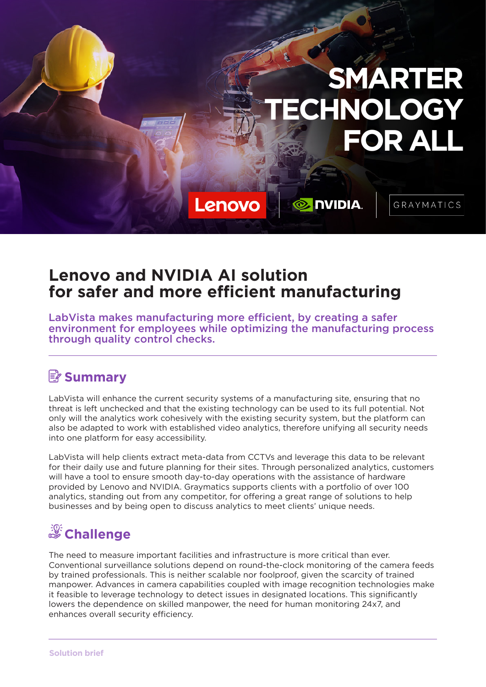

#### **Lenovo and NVIDIA AI solution for safer and more efficient manufacturing**

LabVista makes manufacturing more efficient, by creating a safer environment for employees while optimizing the manufacturing process through quality control checks.

#### **Summary**

LabVista will enhance the current security systems of a manufacturing site, ensuring that no threat is left unchecked and that the existing technology can be used to its full potential. Not only will the analytics work cohesively with the existing security system, but the platform can also be adapted to work with established video analytics, therefore unifying all security needs into one platform for easy accessibility.

LabVista will help clients extract meta-data from CCTVs and leverage this data to be relevant for their daily use and future planning for their sites. Through personalized analytics, customers will have a tool to ensure smooth day-to-day operations with the assistance of hardware provided by Lenovo and NVIDIA. Graymatics supports clients with a portfolio of over 100 analytics, standing out from any competitor, for offering a great range of solutions to help businesses and by being open to discuss analytics to meet clients' unique needs.

# *S* Challenge

The need to measure important facilities and infrastructure is more critical than ever. Conventional surveillance solutions depend on round-the-clock monitoring of the camera feeds by trained professionals. This is neither scalable nor foolproof, given the scarcity of trained manpower. Advances in camera capabilities coupled with image recognition technologies make it feasible to leverage technology to detect issues in designated locations. This significantly lowers the dependence on skilled manpower, the need for human monitoring 24x7, and enhances overall security efficiency.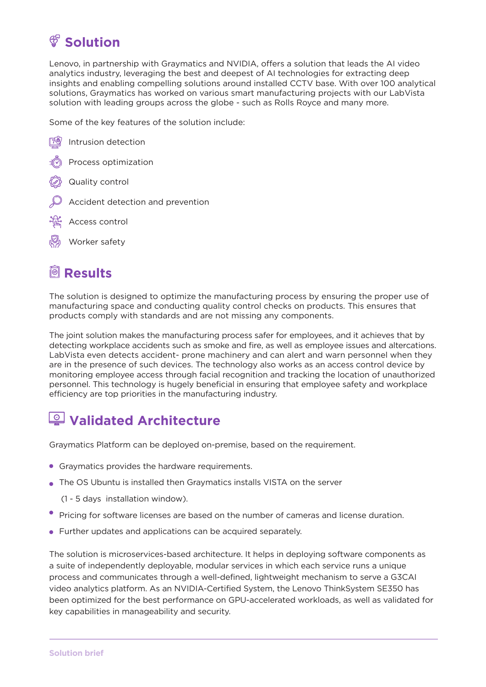## *Solution*

Lenovo, in partnership with Graymatics and NVIDIA, offers a solution that leads the AI video analytics industry, leveraging the best and deepest of AI technologies for extracting deep insights and enabling compelling solutions around installed CCTV base. With over 100 analytical solutions, Graymatics has worked on various smart manufacturing projects with our LabVista solution with leading groups across the globe - such as Rolls Royce and many more.

Some of the key features of the solution include:



## **Results**

The solution is designed to optimize the manufacturing process by ensuring the proper use of manufacturing space and conducting quality control checks on products. This ensures that products comply with standards and are not missing any components.

The joint solution makes the manufacturing process safer for employees, and it achieves that by detecting workplace accidents such as smoke and fire, as well as employee issues and altercations. LabVista even detects accident- prone machinery and can alert and warn personnel when they are in the presence of such devices. The technology also works as an access control device by monitoring employee access through facial recognition and tracking the location of unauthorized personnel. This technology is hugely beneficial in ensuring that employee safety and workplace efficiency are top priorities in the manufacturing industry.

### **Validated Architecture**

Graymatics Platform can be deployed on-premise, based on the requirement.

- Graymatics provides the hardware requirements.
- The OS Ubuntu is installed then Graymatics installs VISTA on the server
	- (1 5 days installation window).
- Pricing for software licenses are based on the number of cameras and license duration.
- **•** Further updates and applications can be acquired separately.

The solution is microservices-based architecture. It helps in deploying software components as a suite of independently deployable, modular services in which each service runs a unique process and communicates through a well-defined, lightweight mechanism to serve a G3CAI video analytics platform. As an NVIDIA-Certified System, the Lenovo ThinkSystem SE350 has been optimized for the best performance on GPU-accelerated workloads, as well as validated for key capabilities in manageability and security.